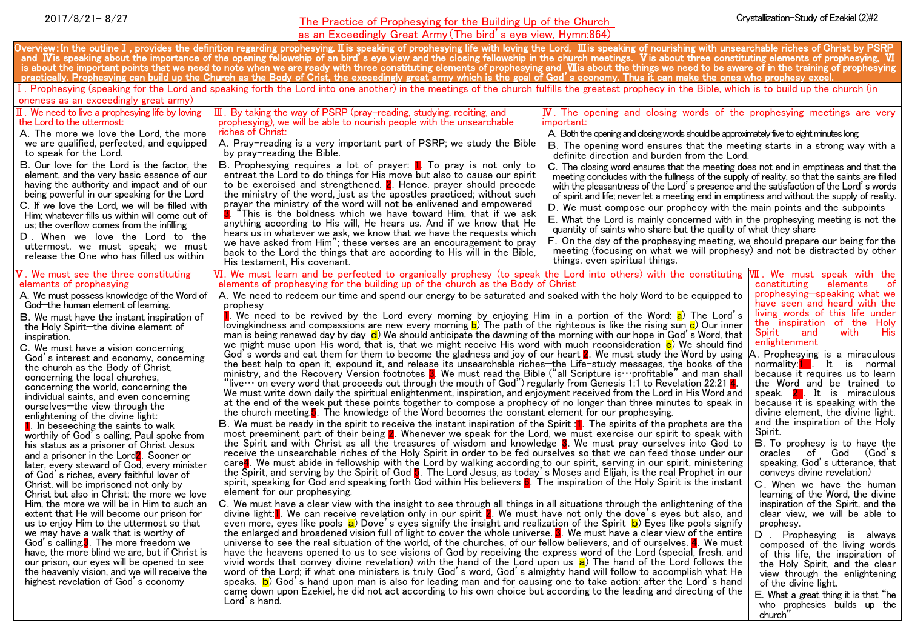# The Practice of Prophesying for the Building Up of the Church 2017/8/21- 8/27 Crystallization-Study of Ezekiel (2)#2

| as an Exceedingly Great Army (The bird's eye view, Hymn:864)                                                                                                                                                                                                                                                                                                                                                                                                                                                                                                                                                                                                                                                                                                                                                                                                                                                                                                                                                                                                                                                                                                                                                                                                                                                                                                                                                                                                                                                                                                                                                                                                                                                                                                                                                                                                                                                                                                                                                                                                                                                                                                                                                                                                                                                                                                                                                                                                                                                                                                                                                                                                                                                                                                                                                                                                                                                                                                                                                                                                                                                                                                                                                                                                                                                                                                                                                                                                                                                                                                                                                                                                                                                                                                                                                                                                                                                                                                                                                                                                                                                                                                                                                                                                                                                                                                                                                                                                                                                                                                                                                                                                                                                                                                                                                                                                                                                                                                                                                                                                                                                                                                                                                                                                                                                                             |                                                                                                                                                                                                                                                                                                                                                                                                                                                                                                                                                                                                                                                                                                                                                                                                                                                                                                                                                                                                                                                                                   |                                                                                                                                                                                                                                                                                                                                                                                                                                                                                                                                                                                                                                                                                                                                                                                                                                                                                                                                                                                                                                                                                                                                          |                                                                                                                                                                                                                                                                                                                                                                                                                                                                                                                                                                                                                                                                                                                                                                                                                                                                                                                                                                                                                                                                                          |
|------------------------------------------------------------------------------------------------------------------------------------------------------------------------------------------------------------------------------------------------------------------------------------------------------------------------------------------------------------------------------------------------------------------------------------------------------------------------------------------------------------------------------------------------------------------------------------------------------------------------------------------------------------------------------------------------------------------------------------------------------------------------------------------------------------------------------------------------------------------------------------------------------------------------------------------------------------------------------------------------------------------------------------------------------------------------------------------------------------------------------------------------------------------------------------------------------------------------------------------------------------------------------------------------------------------------------------------------------------------------------------------------------------------------------------------------------------------------------------------------------------------------------------------------------------------------------------------------------------------------------------------------------------------------------------------------------------------------------------------------------------------------------------------------------------------------------------------------------------------------------------------------------------------------------------------------------------------------------------------------------------------------------------------------------------------------------------------------------------------------------------------------------------------------------------------------------------------------------------------------------------------------------------------------------------------------------------------------------------------------------------------------------------------------------------------------------------------------------------------------------------------------------------------------------------------------------------------------------------------------------------------------------------------------------------------------------------------------------------------------------------------------------------------------------------------------------------------------------------------------------------------------------------------------------------------------------------------------------------------------------------------------------------------------------------------------------------------------------------------------------------------------------------------------------------------------------------------------------------------------------------------------------------------------------------------------------------------------------------------------------------------------------------------------------------------------------------------------------------------------------------------------------------------------------------------------------------------------------------------------------------------------------------------------------------------------------------------------------------------------------------------------------------------------------------------------------------------------------------------------------------------------------------------------------------------------------------------------------------------------------------------------------------------------------------------------------------------------------------------------------------------------------------------------------------------------------------------------------------------------------------------------------------------------------------------------------------------------------------------------------------------------------------------------------------------------------------------------------------------------------------------------------------------------------------------------------------------------------------------------------------------------------------------------------------------------------------------------------------------------------------------------------------------------------------------------------------------------------------------------------------------------------------------------------------------------------------------------------------------------------------------------------------------------------------------------------------------------------------------------------------------------------------------------------------------------------------------------------------------------------------------------------------------------------------------------------------------|-----------------------------------------------------------------------------------------------------------------------------------------------------------------------------------------------------------------------------------------------------------------------------------------------------------------------------------------------------------------------------------------------------------------------------------------------------------------------------------------------------------------------------------------------------------------------------------------------------------------------------------------------------------------------------------------------------------------------------------------------------------------------------------------------------------------------------------------------------------------------------------------------------------------------------------------------------------------------------------------------------------------------------------------------------------------------------------|------------------------------------------------------------------------------------------------------------------------------------------------------------------------------------------------------------------------------------------------------------------------------------------------------------------------------------------------------------------------------------------------------------------------------------------------------------------------------------------------------------------------------------------------------------------------------------------------------------------------------------------------------------------------------------------------------------------------------------------------------------------------------------------------------------------------------------------------------------------------------------------------------------------------------------------------------------------------------------------------------------------------------------------------------------------------------------------------------------------------------------------|------------------------------------------------------------------------------------------------------------------------------------------------------------------------------------------------------------------------------------------------------------------------------------------------------------------------------------------------------------------------------------------------------------------------------------------------------------------------------------------------------------------------------------------------------------------------------------------------------------------------------------------------------------------------------------------------------------------------------------------------------------------------------------------------------------------------------------------------------------------------------------------------------------------------------------------------------------------------------------------------------------------------------------------------------------------------------------------|
| Overview: In the outline I,provides the definition regarding prophesying. II is speaking of prophesying life with loving the Lord,III is speaking of nourishing with unsearchable riches of Christ by PSRP<br>and IV is speaking about the importance of the opening fellowship of an bird's eye view and the closing fellowship in the church meetings. Vis about three constituting elements of prophesying, VI<br>is about the important points that we need to note when we are ready with three constituting elements of prophesying and Wiis about the things we need to be aware of in the training of prophesying<br>practically. Prophesying can build up the Church as the Body of Crist, the exceedingly great army which is the goal of God´s economy. Thus it can make the ones who prophesy excel                                                                                                                                                                                                                                                                                                                                                                                                                                                                                                                                                                                                                                                                                                                                                                                                                                                                                                                                                                                                                                                                                                                                                                                                                                                                                                                                                                                                                                                                                                                                                                                                                                                                                                                                                                                                                                                                                                                                                                                                                                                                                                                                                                                                                                                                                                                                                                                                                                                                                                                                                                                                                                                                                                                                                                                                                                                                                                                                                                                                                                                                                                                                                                                                                                                                                                                                                                                                                                                                                                                                                                                                                                                                                                                                                                                                                                                                                                                                                                                                                                                                                                                                                                                                                                                                                                                                                                                                                                                                                                                          |                                                                                                                                                                                                                                                                                                                                                                                                                                                                                                                                                                                                                                                                                                                                                                                                                                                                                                                                                                                                                                                                                   |                                                                                                                                                                                                                                                                                                                                                                                                                                                                                                                                                                                                                                                                                                                                                                                                                                                                                                                                                                                                                                                                                                                                          |                                                                                                                                                                                                                                                                                                                                                                                                                                                                                                                                                                                                                                                                                                                                                                                                                                                                                                                                                                                                                                                                                          |
| I. Prophesying (speaking for the Lord and speaking forth the Lord into one another) in the meetings of the church fulfills the greatest prophecy in the Bible, which is to build up the church (in                                                                                                                                                                                                                                                                                                                                                                                                                                                                                                                                                                                                                                                                                                                                                                                                                                                                                                                                                                                                                                                                                                                                                                                                                                                                                                                                                                                                                                                                                                                                                                                                                                                                                                                                                                                                                                                                                                                                                                                                                                                                                                                                                                                                                                                                                                                                                                                                                                                                                                                                                                                                                                                                                                                                                                                                                                                                                                                                                                                                                                                                                                                                                                                                                                                                                                                                                                                                                                                                                                                                                                                                                                                                                                                                                                                                                                                                                                                                                                                                                                                                                                                                                                                                                                                                                                                                                                                                                                                                                                                                                                                                                                                                                                                                                                                                                                                                                                                                                                                                                                                                                                                                       |                                                                                                                                                                                                                                                                                                                                                                                                                                                                                                                                                                                                                                                                                                                                                                                                                                                                                                                                                                                                                                                                                   |                                                                                                                                                                                                                                                                                                                                                                                                                                                                                                                                                                                                                                                                                                                                                                                                                                                                                                                                                                                                                                                                                                                                          |                                                                                                                                                                                                                                                                                                                                                                                                                                                                                                                                                                                                                                                                                                                                                                                                                                                                                                                                                                                                                                                                                          |
| oneness as an exceedingly great army)                                                                                                                                                                                                                                                                                                                                                                                                                                                                                                                                                                                                                                                                                                                                                                                                                                                                                                                                                                                                                                                                                                                                                                                                                                                                                                                                                                                                                                                                                                                                                                                                                                                                                                                                                                                                                                                                                                                                                                                                                                                                                                                                                                                                                                                                                                                                                                                                                                                                                                                                                                                                                                                                                                                                                                                                                                                                                                                                                                                                                                                                                                                                                                                                                                                                                                                                                                                                                                                                                                                                                                                                                                                                                                                                                                                                                                                                                                                                                                                                                                                                                                                                                                                                                                                                                                                                                                                                                                                                                                                                                                                                                                                                                                                                                                                                                                                                                                                                                                                                                                                                                                                                                                                                                                                                                                    |                                                                                                                                                                                                                                                                                                                                                                                                                                                                                                                                                                                                                                                                                                                                                                                                                                                                                                                                                                                                                                                                                   |                                                                                                                                                                                                                                                                                                                                                                                                                                                                                                                                                                                                                                                                                                                                                                                                                                                                                                                                                                                                                                                                                                                                          |                                                                                                                                                                                                                                                                                                                                                                                                                                                                                                                                                                                                                                                                                                                                                                                                                                                                                                                                                                                                                                                                                          |
| $\mathbb I$ . We need to live a prophesying life by loving<br>the Lord to the uttermost:<br>A. The more we love the Lord, the more<br>we are qualified, perfected, and equipped<br>to speak for the Lord.<br><b>B.</b> Our love for the Lord is the factor, the<br>element, and the very basic essence of our<br>having the authority and impact and of our<br>being powerful in our speaking for the Lord<br>C. If we love the Lord, we will be filled with<br>Him; whatever fills us within will come out of<br>us; the overflow comes from the infilling<br>D. When we love the Lord to the<br>uttermost, we must speak; we must<br>release the One who has filled us within<br>V. We must see the three constituting                                                                                                                                                                                                                                                                                                                                                                                                                                                                                                                                                                                                                                                                                                                                                                                                                                                                                                                                                                                                                                                                                                                                                                                                                                                                                                                                                                                                                                                                                                                                                                                                                                                                                                                                                                                                                                                                                                                                                                                                                                                                                                                                                                                                                                                                                                                                                                                                                                                                                                                                                                                                                                                                                                                                                                                                                                                                                                                                                                                                                                                                                                                                                                                                                                                                                                                                                                                                                                                                                                                                                                                                                                                                                                                                                                                                                                                                                                                                                                                                                                                                                                                                                                                                                                                                                                                                                                                                                                                                                                                                                                                                                 | $\rm I\!I\!I$ . By taking the way of PSRP (pray-reading, studying, reciting, and<br>prophesying), we will be able to nourish people with the unsearchable<br>riches of Christ:<br>A. Pray-reading is a very important part of PSRP; we study the Bible<br>by pray-reading the Bible.<br>B. Prophesying requires a lot of prayer: 1. To pray is not only to<br>entreat the Lord to do things for His move but also to cause our spirit<br>to be exercised and strengthened. <b>2</b> . Hence, prayer should precede<br>the ministry of the word, just as the apostles practiced; without such<br>prayer the ministry of the word will not be enlivened and empowered<br><b>3</b> . "This is the boldness which we have toward Him, that if we ask<br>anything according to His will, He hears us. And if we know that He<br>hears us in whatever we ask, we know that we have the requests which<br>we have asked from Him"; these verses are an encouragement to pray<br>back to the Lord the things that are according to His will in the Bible,<br>His testament, His covenant. | $\mathbb W$ . The opening and closing words of the prophesying meetings are very<br>important:<br>A. Both the opening and closing words should be approximately five to eight minutes long.<br>B. The opening word ensures that the meeting starts in a strong way with a<br>definite direction and burden from the Lord.<br>C. The closing word ensures that the meeting does not end in emptiness and that the<br>meeting concludes with the fullness of the supply of reality, so that the saints are filled<br>with the pleasantness of the Lord's presence and the satisfaction of the Lord's words<br>of spirit and life; never let a meeting end in emptiness and without the supply of reality.<br>D. We must compose our prophecy with the main points and the subpoints<br>E. What the Lord is mainly concerned with in the prophesying meeting is not the<br>quantity of saints who share but the quality of what they share<br>F. On the day of the prophesying meeting, we should prepare our being for the<br>meeting (focusing on what we will prophesy) and not be distracted by other<br>things, even spiritual things. | VII. We must speak with the                                                                                                                                                                                                                                                                                                                                                                                                                                                                                                                                                                                                                                                                                                                                                                                                                                                                                                                                                                                                                                                              |
| VI. We must learn and be perfected to organically prophesy (to speak the Lord into others) with the constituting<br>elements of prophesying for the building up of the church as the Body of Christ<br>elements of prophesying<br>A. We need to redeem our time and spend our energy to be saturated and soaked with the holy Word to be equipped to<br>A. We must possess knowledge of the Word of<br>God-the human element of learning.<br>prophesy<br><b>I</b> . We need to be revived by the Lord every morning by enjoying Him in a portion of the Word: a) The Lord's<br>B. We must have the instant inspiration of<br>lovingkindness and compassions are new every morning b) The path of the righteous is like the rising sun c) Our inner<br>the Holy Spirit-the divine element of<br>man is being renewed day by day $\mathbf d$ ) We should anticipate the dawning of the morning with our hope in God's Word, that<br>inspiration.<br>we might muse upon His word, that is, that we might receive His word with much reconsideration e) We should find<br>C. We must have a vision concerning<br>God´s words and eat them for them to become the gladness and joy of our heart 2. We must study the Word by using<br>God's interest and economy, concerning<br>the best help to open it, expound it, and release its unsearchable riches—the Life-study messages, the books of the<br>the church as the Body of Christ,<br>ministry, and the Recovery Version footnotes <b>1</b> . We must read the Bible ("all Scripture is ···profitable" and man shall<br>concerning the local churches,<br>"live… on every word that proceeds out through the mouth of God") regularly from Genesis 1:1 to Revelation 22:21 <mark>4</mark> .<br>concerning the world, concerning the<br>We must write down daily the spiritual enlightenment, inspiration, and enjoyment received from the Lord in His Word and<br>individual saints, and even concerning<br>at the end of the week put these points together to compose a prophecy of no longer than three minutes to speak in<br>ourselves—the view through the<br>the church meeting <b>b</b> . The knowledge of the Word becomes the constant element for our prophesying.<br>enlightening of the divine light:<br>B. We must be ready in the spirit to receive the instant inspiration of the Spirit : 1. The spirits of the prophets are the<br><b>1.</b> In beseeching the saints to walk<br>most preeminent part of their being 2. Whenever we speak for the Lord, we must exercise our spirit to speak with<br>worthily of God's calling, Paul spoke from<br>the Spirit and with Christ as all the treasures of wisdom and knowledge 8. We must pray ourselves into God to<br>his status as a prisoner of Christ Jesus<br>receive the unsearchable riches of the Holy Spirit in order to be fed ourselves so that we can feed those under our<br>and a prisoner in the Lord <sup>2</sup> . Sooner or<br>care4. We must abide in fellowship with the Lord by walking according to our spirit, serving in our spirit, ministering<br>later, every steward of God, every minister<br>the Spirit, and serving by the Spirit of God <mark>5</mark> . The Lord Jesus, as today's Moses and Elijah, is the real Prophet in our<br>of God´s riches, every faithful lover of<br>spirit, speaking for God and speaking forth $\overline{G}$ od within His believers $\overline{G}$ . The inspiration of the Holy Spirit is the instant<br>Christ, will be imprisoned not only by<br>element for our prophesying.<br>Christ but also in Christ; the more we love<br>Him, the more we will be in Him to such an<br>C. We must have a clear view with the insight to see through all things in all situations through the enlightening of the<br>divine light: <sup>1</sup> . We can receive revelation only in our spirit 2. We must have not only the dove's eyes but also, and<br>extent that He will become our prison for<br>even more, eyes like pools $a$ ) Dove's eyes signify the insight and realization of the Spirit $b$ ) Eyes like pools signify<br>us to enjoy Him to the uttermost so that<br>we may have a walk that is worthy of<br>the enlarged and broadened vision full of light to cover the whole universe. 8. We must have a clear view of the entire<br>God's calling. <sup>3</sup> . The more freedom we<br>universe to see the real situation of the world, of the churches, of our fellow believers, and of ourselves. $\frac{d}{d}$ . We must<br>have, the more blind we are, but if Christ is<br>have the heavens opened to us to see visions of God by receiving the express word of the Lord (special, fresh, and<br>our prison, our eyes will be opened to see<br>vivid words that convey divine revelation) with the hand of the Lord upon us a) The hand of the Lord follows the<br>word of the Lord; if what one ministers is truly God's word, God's almighty hand will follow to accomplish what He<br>the heavenly vision, and we will receive the<br>highest revelation of God's economy<br>speaks. b) God's hand upon man is also for leading man and for causing one to take action; after the Lord's hand<br>came down upon Ezekiel, he did not act according to his own choice but according to the leading and directing of the<br>Lord's hand. |                                                                                                                                                                                                                                                                                                                                                                                                                                                                                                                                                                                                                                                                                                                                                                                                                                                                                                                                                                                                                                                                                   |                                                                                                                                                                                                                                                                                                                                                                                                                                                                                                                                                                                                                                                                                                                                                                                                                                                                                                                                                                                                                                                                                                                                          | constituting<br>elements<br>-of<br>prophesying-speaking what we<br>have seen and heard with the<br>living words of this life under<br>the inspiration of the Holy<br>Spirit<br>and<br>with<br><b>His</b><br>enlightenment<br>A. Prophesying is a miraculous<br>normality: <sup>1</sup> . It is normal<br>because it requires us to learn<br>the Word and be trained to<br>speak. 2. It is miraculous<br>because it is speaking with the<br>divine element, the divine light,<br>and the inspiration of the Holy<br>Spirit.<br>B. To prophesy is to have the<br>oracles of God (God's<br>speaking, God's utterance, that<br>convevs divine revelation)<br>C. When we have the human<br>learning of the Word, the divine<br>inspiration of the Spirit, and the<br>clear view, we will be able to<br>prophesy.<br>D. Prophesying is always<br>composed of the living words<br>of this life, the inspiration of<br>the Holy Spirit, and the clear<br>view through the enlightening<br>of the divine light.<br>E. What a great thing it is that "he<br>who prophesies builds up the<br>church |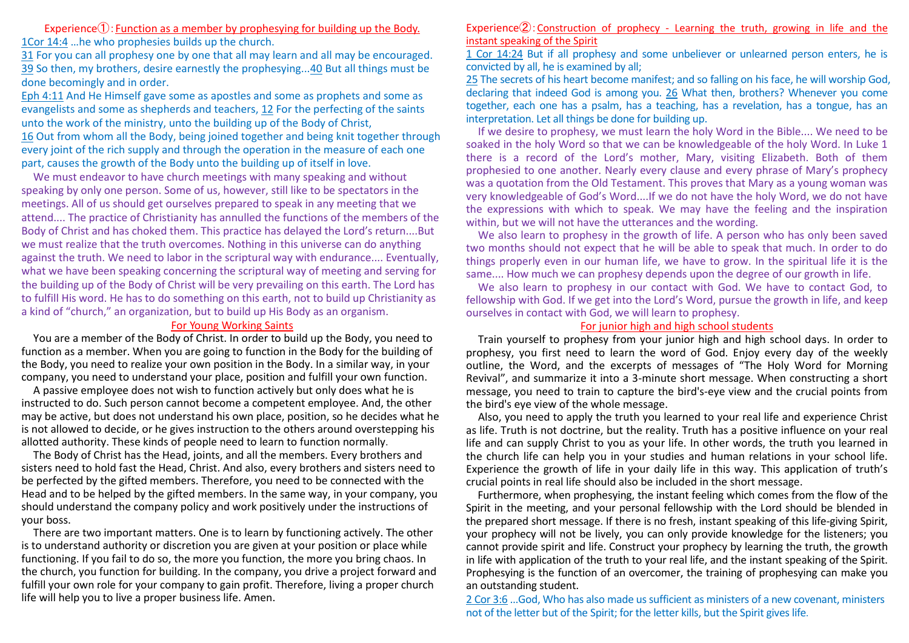Experience $\Phi$ : Function as a member by prophesying for building up the Body. 1Cor 14:4 …he who prophesies builds up the church.

31 For you can all prophesy one by one that all may learn and all may be encouraged. 39 So then, my brothers, desire earnestly the prophesying...40 But all things must be done becomingly and in order.

Eph 4:11 And He Himself gave some as apostles and some as prophets and some as evangelists and some as shepherds and teachers, 12 For the perfecting of the saints unto the work of the ministry, unto the building up of the Body of Christ, 16 Out from whom all the Body, being joined together and being knit together through every joint of the rich supply and through the operation in the measure of each one part, causes the growth of the Body unto the building up of itself in love.

We must endeavor to have church meetings with many speaking and without speaking by only one person. Some of us, however, still like to be spectators in the meetings. All of us should get ourselves prepared to speak in any meeting that we attend.... The practice of Christianity has annulled the functions of the members of the Body of Christ and has choked them. This practice has delayed the Lord's return....But we must realize that the truth overcomes. Nothing in this universe can do anything against the truth. We need to labor in the scriptural way with endurance.... Eventually, what we have been speaking concerning the scriptural way of meeting and serving for the building up of the Body of Christ will be very prevailing on this earth. The Lord has to fulfill His word. He has to do something on this earth, not to build up Christianity as a kind of "church," an organization, but to build up His Body as an organism.

## For Young Working Saints

You are a member of the Body of Christ. In order to build up the Body, you need to function as a member. When you are going to function in the Body for the building of the Body, you need to realize your own position in the Body. In a similar way, in your company, you need to understand your place, position and fulfill your own function.

A passive employee does not wish to function actively but only does what he is instructed to do. Such person cannot become a competent employee. And, the other may be active, but does not understand his own place, position, so he decides what he is not allowed to decide, or he gives instruction to the others around overstepping his allotted authority. These kinds of people need to learn to function normally.

The Body of Christ has the Head, joints, and all the members. Every brothers and sisters need to hold fast the Head, Christ. And also, every brothers and sisters need to be perfected by the gifted members. Therefore, you need to be connected with the Head and to be helped by the gifted members. In the same way, in your company, you should understand the company policy and work positively under the instructions of your boss.

There are two important matters. One is to learn by functioning actively. The other is to understand authority or discretion you are given at your position or place while functioning. If you fail to do so, the more you function, the more you bring chaos. In the church, you function for building. In the company, you drive a project forward and fulfill your own role for your company to gain profit. Therefore, living a proper church life will help you to live a proper business life. Amen.

### Experience $\mathcal{Q}$ : Construction of prophecy - Learning the truth, growing in life and the instant speaking of the Spirit

1 Cor 14:24 But if all prophesy and some unbeliever or unlearned person enters, he is convicted by all, he is examined by all;

25 The secrets of his heart become manifest; and so falling on his face, he will worship God, declaring that indeed God is among you. 26 What then, brothers? Whenever you come together, each one has a psalm, has a teaching, has a revelation, has a tongue, has an interpretation. Let all things be done for building up.

If we desire to prophesy, we must learn the holy Word in the Bible.... We need to be soaked in the holy Word so that we can be knowledgeable of the holy Word. In Luke 1 there is a record of the Lord's mother, Mary, visiting Elizabeth. Both of them prophesied to one another. Nearly every clause and every phrase of Mary's prophecy was a quotation from the Old Testament. This proves that Mary as a young woman was very knowledgeable of God's Word....If we do not have the holy Word, we do not have the expressions with which to speak. We may have the feeling and the inspiration within, but we will not have the utterances and the wording.

We also learn to prophesy in the growth of life. A person who has only been saved two months should not expect that he will be able to speak that much. In order to do things properly even in our human life, we have to grow. In the spiritual life it is the same.... How much we can prophesy depends upon the degree of our growth in life.

We also learn to prophesy in our contact with God. We have to contact God, to fellowship with God. If we get into the Lord's Word, pursue the growth in life, and keep ourselves in contact with God, we will learn to prophesy.

#### For junior high and high school students

Train yourself to prophesy from your junior high and high school days. In order to prophesy, you first need to learn the word of God. Enjoy every day of the weekly outline, the Word, and the excerpts of messages of "The Holy Word for Morning Revival", and summarize it into a 3-minute short message. When constructing a short message, you need to train to capture the bird's-eye view and the crucial points from the bird's eye view of the whole message.

Also, you need to apply the truth you learned to your real life and experience Christ as life. Truth is not doctrine, but the reality. Truth has a positive influence on your real life and can supply Christ to you as your life. In other words, the truth you learned in the church life can help you in your studies and human relations in your school life. Experience the growth of life in your daily life in this way. This application of truth's crucial points in real life should also be included in the short message.

Furthermore, when prophesying, the instant feeling which comes from the flow of the Spirit in the meeting, and your personal fellowship with the Lord should be blended in the prepared short message. If there is no fresh, instant speaking of this life-giving Spirit, your prophecy will not be lively, you can only provide knowledge for the listeners; you cannot provide spirit and life. Construct your prophecy by learning the truth, the growth in life with application of the truth to your real life, and the instant speaking of the Spirit. Prophesying is the function of an overcomer, the training of prophesying can make you an outstanding student.

2 Cor 3:6 ...God, Who has also made us sufficient as ministers of a new covenant, ministers not of the letter but of the Spirit; for the letter kills, but the Spirit gives life.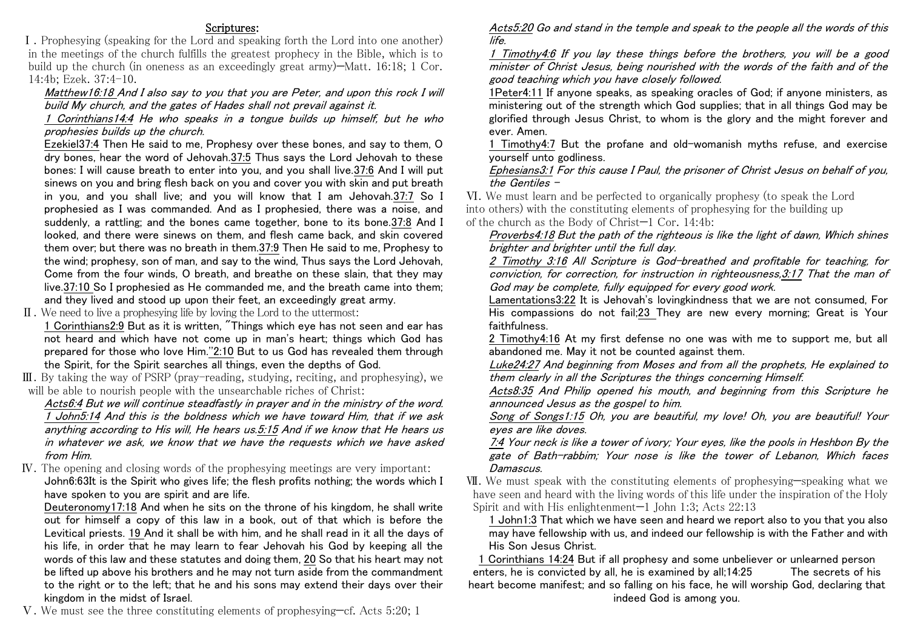## Scriptures:

Ⅰ.Prophesying (speaking for the Lord and speaking forth the Lord into one another) in the meetings of the church fulfills the greatest prophecy in the Bible, which is to build up the church (in oneness as an exceedingly great army)—Matt. 16:18; 1 Cor. 14:4b; Ezek. 37:4-10.

## Matthew16:18 And I also say to you that you are Peter, and upon this rock I will build My church, and the gates of Hades shall not prevail against it.

1 Corinthians14:4 He who speaks in a tongue builds up himself, but he who prophesies builds up the church.

Ezekiel37:4 Then He said to me, Prophesy over these bones, and say to them, O dry bones, hear the word of Jehovah.37:5 Thus says the Lord Jehovah to these bones: I will cause breath to enter into you, and you shall live.37:6 And I will put sinews on you and bring flesh back on you and cover you with skin and put breath in you, and you shall live; and you will know that I am Jehovah.37:7 So I prophesied as I was commanded. And as I prophesied, there was a noise, and suddenly, a rattling; and the bones came together, bone to its bone.37:8 And I looked, and there were sinews on them, and flesh came back, and skin covered them over; but there was no breath in them.37:9 Then He said to me, Prophesy to the wind; prophesy, son of man, and say to the wind, Thus says the Lord Jehovah, Come from the four winds, O breath, and breathe on these slain, that they may live.37:10 So I prophesied as He commanded me, and the breath came into them; and they lived and stood up upon their feet, an exceedingly great army.

Ⅱ.We need to live a prophesying life by loving the Lord to the uttermost:

1 Corinthians2:9 But as it is written, "Things which eye has not seen and ear has not heard and which have not come up in man's heart; things which God has prepared for those who love Him.''2:10 But to us God has revealed them through the Spirit, for the Spirit searches all things, even the depths of God.

Ⅲ.By taking the way of PSRP (pray-reading, studying, reciting, and prophesying), we will be able to nourish people with the unsearchable riches of Christ:

Acts6:4 But we will continue steadfastly in prayer and in the ministry of the word. 1 John5:14 And this is the boldness which we have toward Him, that if we ask anything according to His will, He hears us.5:15 And if we know that He hears us in whatever we ask, we know that we have the requests which we have asked from Him.

Ⅳ.The opening and closing words of the prophesying meetings are very important: John6:63It is the Spirit who gives life; the flesh profits nothing; the words which I have spoken to you are spirit and are life.

Deuteronomy17:18 And when he sits on the throne of his kingdom, he shall write out for himself a copy of this law in a book, out of that which is before the Levitical priests. 19 And it shall be with him, and he shall read in it all the days of his life, in order that he may learn to fear Jehovah his God by keeping all the words of this law and these statutes and doing them, 20 So that his heart may not be lifted up above his brothers and he may not turn aside from the commandment to the right or to the left; that he and his sons may extend their days over their kingdom in the midst of Israel.

Ⅴ.We must see the three constituting elements of prophesying—cf. Acts 5:20; 1

Acts5:20 Go and stand in the temple and speak to the people all the words of this life.

1 Timothy4:6 If you lay these things before the brothers, you will be a good minister of Christ Jesus, being nourished with the words of the faith and of the good teaching which you have closely followed.

1Peter4:11 If anyone speaks, as speaking oracles of God; if anyone ministers, as ministering out of the strength which God supplies; that in all things God may be glorified through Jesus Christ, to whom is the glory and the might forever and ever. Amen.

1 Timothy4:7 But the profane and old-womanish myths refuse, and exercise yourself unto godliness.

Ephesians3:1 For this cause I Paul, the prisoner of Christ Jesus on behalf of you, the Gentiles –

Ⅵ.We must learn and be perfected to organically prophesy (to speak the Lord into others) with the constituting elements of prophesying for the building up of the church as the Body of Christ—1 Cor. 14:4b:

Proverbs4:18 But the path of the righteous is like the light of dawn, Which shines brighter and brighter until the full day.

2 Timothy 3:16 All Scripture is God-breathed and profitable for teaching, for conviction, for correction, for instruction in righteousness,3:17 That the man of God may be complete, fully equipped for every good work.

Lamentations3:22 It is Jehovah's lovingkindness that we are not consumed, For His compassions do not fail;23 They are new every morning; Great is Your faithfulness.

2 Timothy4:16 At my first defense no one was with me to support me, but all abandoned me. May it not be counted against them.

Luke24:27 And beginning from Moses and from all the prophets, He explained to them clearly in all the Scriptures the things concerning Himself.

Acts8:35 And Philip opened his mouth, and beginning from this Scripture he announced Jesus as the gospel to him.

Song of Songs1:15 Oh, you are beautiful, my love! Oh, you are beautiful! Your eyes are like doves.

7:4 Your neck is like a tower of ivory; Your eyes, like the pools in Heshbon By the gate of Bath-rabbim; Your nose is like the tower of Lebanon, Which faces Damascus.

Ⅶ.We must speak with the constituting elements of prophesying—speaking what we have seen and heard with the living words of this life under the inspiration of the Holy Spirit and with His enlightenment—1 John 1:3; Acts 22:13

1 John1:3 That which we have seen and heard we report also to you that you also may have fellowship with us, and indeed our fellowship is with the Father and with His Son Jesus Christ.

1 Corinthians 14:24 But if all prophesy and some unbeliever or unlearned person enters, he is convicted by all, he is examined by all;14:25 The secrets of his heart become manifest; and so falling on his face, he will worship God, declaring that indeed God is among you.